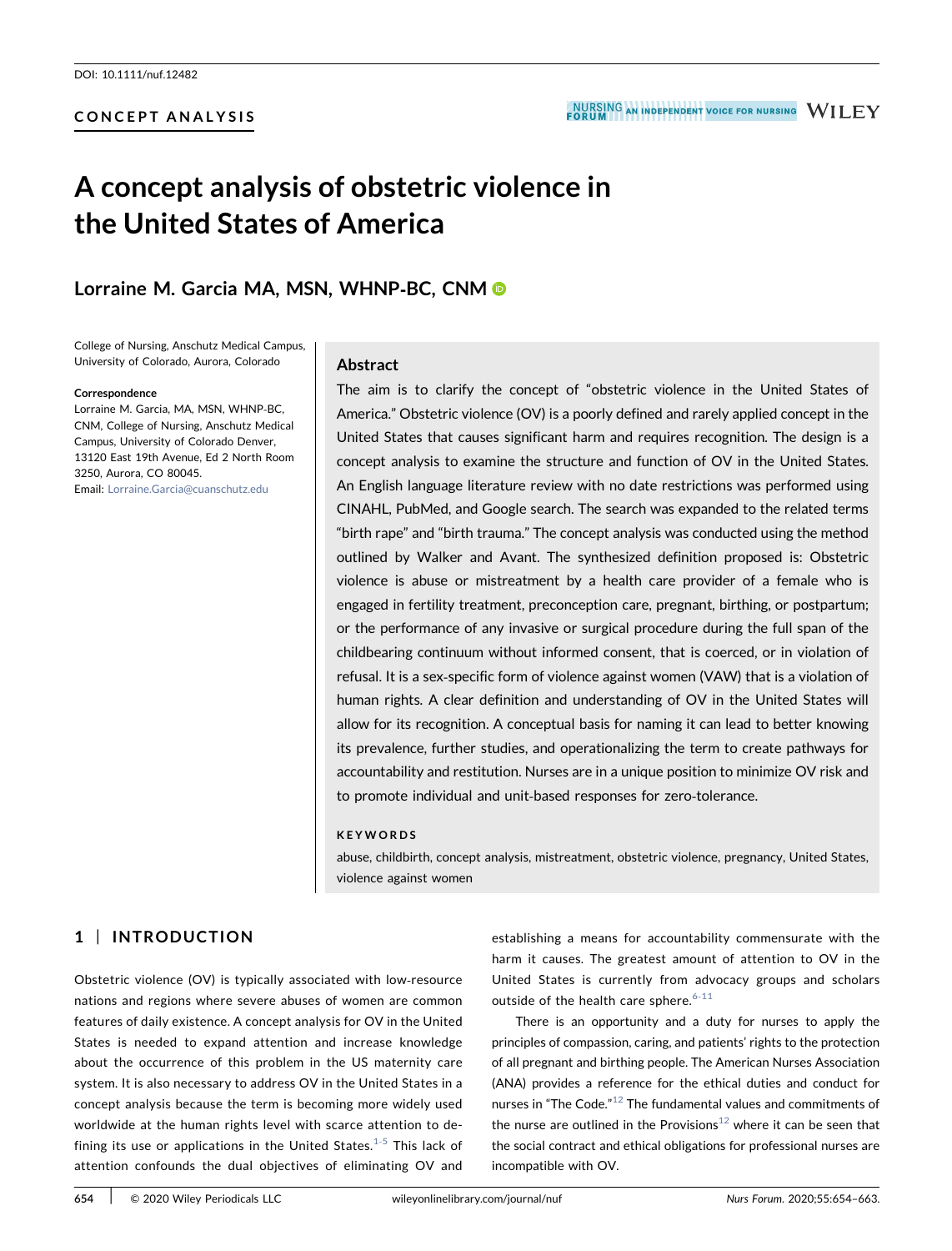### CONCEPT ANALYSIS

# A concept analysis of obstetric violence in the United States of America

# Lorraine M. Garcia MA, MSN, WHNP-BC, CNM <sup>®</sup>

College of Nursing, Anschutz Medical Campus, University of Colorado, Aurora, Colorado

#### **Correspondence**

Lorraine M. Garcia, MA, MSN, WHNP‐BC, CNM, College of Nursing, Anschutz Medical Campus, University of Colorado Denver, 13120 East 19th Avenue, Ed 2 North Room 3250, Aurora, CO 80045. Email: [Lorraine.Garcia@cuanschutz.edu](mailto:Lorraine.Garcia@cuanschutz.edu)

#### Abstract

The aim is to clarify the concept of "obstetric violence in the United States of America." Obstetric violence (OV) is a poorly defined and rarely applied concept in the United States that causes significant harm and requires recognition. The design is a concept analysis to examine the structure and function of OV in the United States. An English language literature review with no date restrictions was performed using CINAHL, PubMed, and Google search. The search was expanded to the related terms "birth rape" and "birth trauma." The concept analysis was conducted using the method outlined by Walker and Avant. The synthesized definition proposed is: Obstetric violence is abuse or mistreatment by a health care provider of a female who is engaged in fertility treatment, preconception care, pregnant, birthing, or postpartum; or the performance of any invasive or surgical procedure during the full span of the childbearing continuum without informed consent, that is coerced, or in violation of refusal. It is a sex‐specific form of violence against women (VAW) that is a violation of human rights. A clear definition and understanding of OV in the United States will allow for its recognition. A conceptual basis for naming it can lead to better knowing its prevalence, further studies, and operationalizing the term to create pathways for accountability and restitution. Nurses are in a unique position to minimize OV risk and to promote individual and unit‐based responses for zero‐tolerance.

#### KEYWORDS

abuse, childbirth, concept analysis, mistreatment, obstetric violence, pregnancy, United States, violence against women

# 1 | INTRODUCTION

Obstetric violence (OV) is typically associated with low‐resource nations and regions where severe abuses of women are common features of daily existence. A concept analysis for OV in the United States is needed to expand attention and increase knowledge about the occurrence of this problem in the US maternity care system. It is also necessary to address OV in the United States in a concept analysis because the term is becoming more widely used worldwide at the human rights level with scarce attention to de-fining its use or applications in the United States.<sup>[1](#page-8-0)-5</sup> This lack of attention confounds the dual objectives of eliminating OV and

establishing a means for accountability commensurate with the harm it causes. The greatest amount of attention to OV in the United States is currently from advocacy groups and scholars outside of the health care sphere. $6-11$  $6-11$ 

There is an opportunity and a duty for nurses to apply the principles of compassion, caring, and patients' rights to the protection of all pregnant and birthing people. The American Nurses Association (ANA) provides a reference for the ethical duties and conduct for nurses in "The Code."<sup>[12](#page-8-0)</sup> The fundamental values and commitments of the nurse are outlined in the Provisions<sup>12</sup> where it can be seen that the social contract and ethical obligations for professional nurses are incompatible with OV.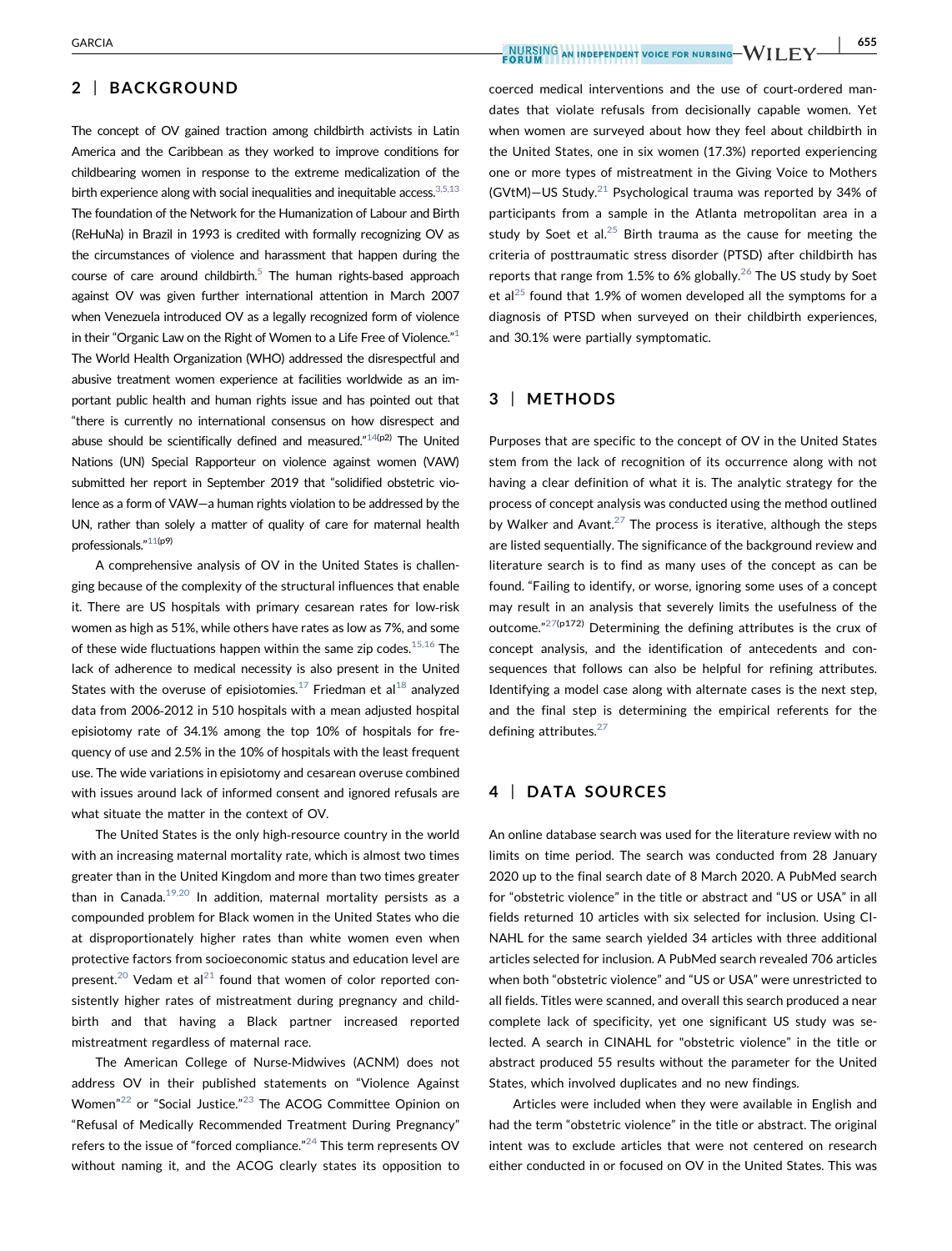## 2 | BACKGROUND

The concept of OV gained traction among childbirth activists in Latin America and the Caribbean as they worked to improve conditions for childbearing women in response to the extreme medicalization of the birth experience along with social inequalities and inequitable access.  $3,5,13$ The foundation of the Network for the Humanization of Labour and Birth (ReHuNa) in Brazil in 1993 is credited with formally recognizing OV as the circumstances of violence and harassment that happen during the course of care around childbirth. $5$  The human rights-based approach against OV was given further international attention in March 2007 when Venezuela introduced OV as a legally recognized form of violence in their "Organic Law on the Right of Women to a Life Free of Violence." $^{\rm 1}$  $^{\rm 1}$  $^{\rm 1}$ The World Health Organization (WHO) addressed the disrespectful and abusive treatment women experience at facilities worldwide as an important public health and human rights issue and has pointed out that "there is currently no international consensus on how disrespect and abuse should be scientifically defined and measured."<sup>[14\(](#page-8-0)p2)</sup> The United Nations (UN) Special Rapporteur on violence against women (VAW) submitted her report in September 2019 that "solidified obstetric violence as a form of VAW—a human rights violation to be addressed by the UN, rather than solely a matter of quality of care for maternal health professionals."<sup>[11\(](#page-8-0)p9)</sup>

A comprehensive analysis of OV in the United States is challenging because of the complexity of the structural influences that enable it. There are US hospitals with primary cesarean rates for low‐risk women as high as 51%, while others have rates as low as 7%, and some of these wide fluctuations happen within the same zip codes.<sup>15,16</sup> The lack of adherence to medical necessity is also present in the United States with the overuse of episiotomies.<sup>17</sup> Friedman et al<sup>[18](#page-8-0)</sup> analyzed data from 2006‐2012 in 510 hospitals with a mean adjusted hospital episiotomy rate of 34.1% among the top 10% of hospitals for frequency of use and 2.5% in the 10% of hospitals with the least frequent use. The wide variations in episiotomy and cesarean overuse combined with issues around lack of informed consent and ignored refusals are what situate the matter in the context of OV.

The United States is the only high‐resource country in the world with an increasing maternal mortality rate, which is almost two times greater than in the United Kingdom and more than two times greater than in Canada. $19,20$  In addition, maternal mortality persists as a compounded problem for Black women in the United States who die at disproportionately higher rates than white women even when protective factors from socioeconomic status and education level are present.<sup>20</sup> Vedam et al<sup>[21](#page-8-0)</sup> found that women of color reported consistently higher rates of mistreatment during pregnancy and childbirth and that having a Black partner increased reported mistreatment regardless of maternal race.

The American College of Nurse‐Midwives (ACNM) does not address OV in their published statements on "Violence Against Women"<sup>[22](#page-8-0)</sup> or "Social Justice."<sup>[23](#page-8-0)</sup> The ACOG Committee Opinion on "Refusal of Medically Recommended Treatment During Pregnancy" refers to the issue of "forced compliance." $^{24}$  $^{24}$  $^{24}$  This term represents OV without naming it, and the ACOG clearly states its opposition to coerced medical interventions and the use of court‐ordered mandates that violate refusals from decisionally capable women. Yet when women are surveyed about how they feel about childbirth in the United States, one in six women (17.3%) reported experiencing one or more types of mistreatment in the Giving Voice to Mothers (GVtM)-US Study. $^{21}$  $^{21}$  $^{21}$  Psychological trauma was reported by 34% of participants from a sample in the Atlanta metropolitan area in a study by Soet et al. $^{25}$  $^{25}$  $^{25}$  Birth trauma as the cause for meeting the criteria of posttraumatic stress disorder (PTSD) after childbirth has reports that range from 1.5% to 6% globally.<sup>26</sup> The US study by Soet et al<sup>[25](#page-8-0)</sup> found that 1.9% of women developed all the symptoms for a diagnosis of PTSD when surveyed on their childbirth experiences, and 30.1% were partially symptomatic.

## 3 | METHODS

Purposes that are specific to the concept of OV in the United States stem from the lack of recognition of its occurrence along with not having a clear definition of what it is. The analytic strategy for the process of concept analysis was conducted using the method outlined by Walker and Avant.<sup>27</sup> The process is iterative, although the steps are listed sequentially. The significance of the background review and literature search is to find as many uses of the concept as can be found. "Failing to identify, or worse, ignoring some uses of a concept may result in an analysis that severely limits the usefulness of the outcome."<sup>[27](#page-8-0)(p172)</sup> Determining the defining attributes is the crux of concept analysis, and the identification of antecedents and consequences that follows can also be helpful for refining attributes. Identifying a model case along with alternate cases is the next step, and the final step is determining the empirical referents for the defining attributes.<sup>[27](#page-8-0)</sup>

## 4 | DATA SOURCES

An online database search was used for the literature review with no limits on time period. The search was conducted from 28 January 2020 up to the final search date of 8 March 2020. A PubMed search for "obstetric violence" in the title or abstract and "US or USA" in all fields returned 10 articles with six selected for inclusion. Using CI-NAHL for the same search yielded 34 articles with three additional articles selected for inclusion. A PubMed search revealed 706 articles when both "obstetric violence" and "US or USA" were unrestricted to all fields. Titles were scanned, and overall this search produced a near complete lack of specificity, yet one significant US study was selected. A search in CINAHL for "obstetric violence" in the title or abstract produced 55 results without the parameter for the United States, which involved duplicates and no new findings.

Articles were included when they were available in English and had the term "obstetric violence" in the title or abstract. The original intent was to exclude articles that were not centered on research either conducted in or focused on OV in the United States. This was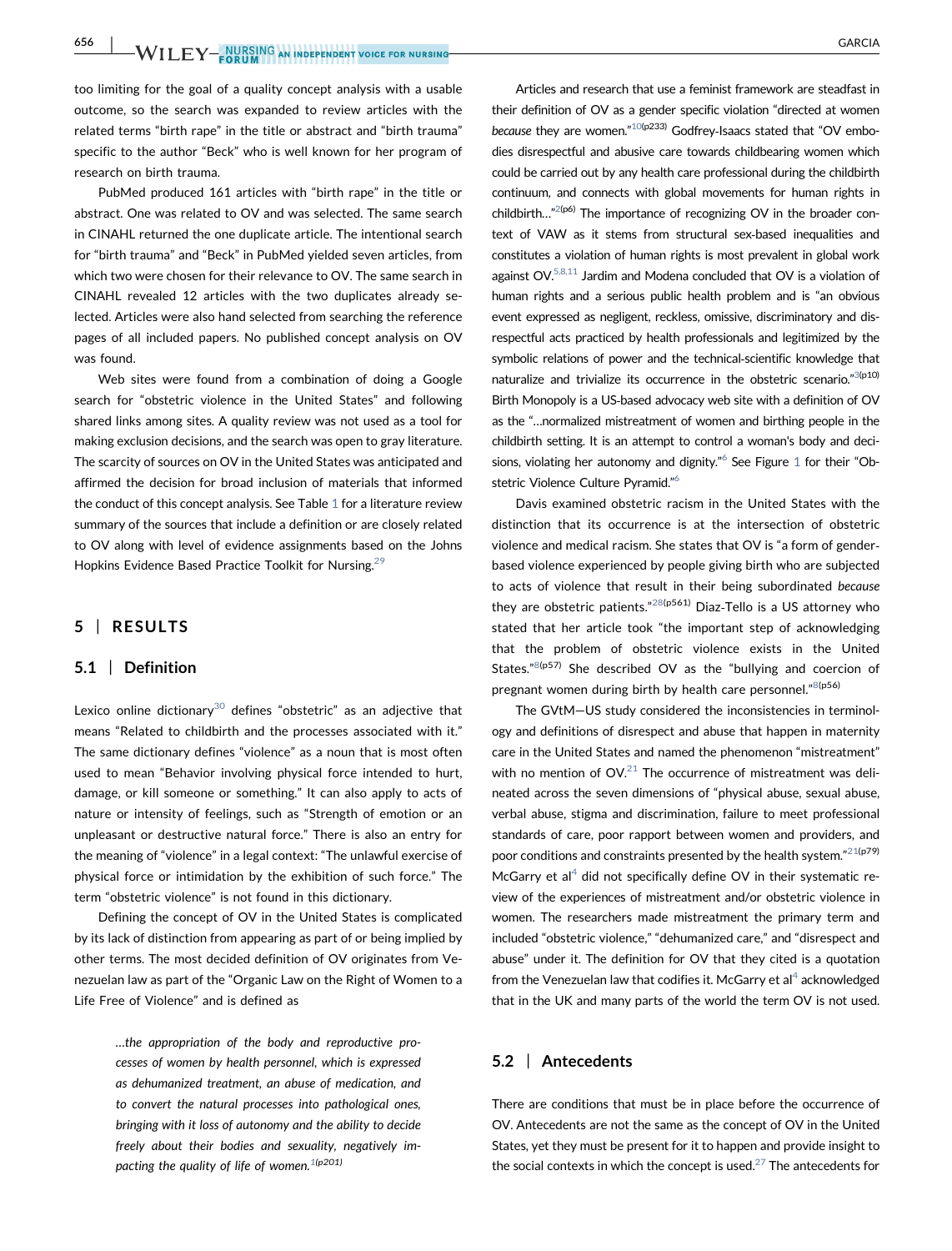too limiting for the goal of a quality concept analysis with a usable outcome, so the search was expanded to review articles with the related terms "birth rape" in the title or abstract and "birth trauma" specific to the author "Beck" who is well known for her program of research on birth trauma.

PubMed produced 161 articles with "birth rape" in the title or abstract. One was related to OV and was selected. The same search in CINAHL returned the one duplicate article. The intentional search for "birth trauma" and "Beck" in PubMed yielded seven articles, from which two were chosen for their relevance to OV. The same search in CINAHL revealed 12 articles with the two duplicates already selected. Articles were also hand selected from searching the reference pages of all included papers. No published concept analysis on OV was found.

Web sites were found from a combination of doing a Google search for "obstetric violence in the United States" and following shared links among sites. A quality review was not used as a tool for making exclusion decisions, and the search was open to gray literature. The scarcity of sources on OV in the United States was anticipated and affirmed the decision for broad inclusion of materials that informed the conduct of this concept analysis. See Table [1](#page-3-0) for a literature review summary of the sources that include a definition or are closely related to OV along with level of evidence assignments based on the Johns Hopkins Evidence Based Practice Toolkit for Nursing[.29](#page-8-0)

## 5 | RESULTS

#### 5.1 | Definition

Lexico online dictionary<sup>[30](#page-8-0)</sup> defines "obstetric" as an adjective that means "Related to childbirth and the processes associated with it." The same dictionary defines "violence" as a noun that is most often used to mean "Behavior involving physical force intended to hurt, damage, or kill someone or something." It can also apply to acts of nature or intensity of feelings, such as "Strength of emotion or an unpleasant or destructive natural force." There is also an entry for the meaning of "violence" in a legal context: "The unlawful exercise of physical force or intimidation by the exhibition of such force." The term "obstetric violence" is not found in this dictionary.

Defining the concept of OV in the United States is complicated by its lack of distinction from appearing as part of or being implied by other terms. The most decided definition of OV originates from Venezuelan law as part of the "Organic Law on the Right of Women to a Life Free of Violence" and is defined as

> …the appropriation of the body and reproductive processes of women by health personnel, which is expressed as dehumanized treatment, an abuse of medication, and to convert the natural processes into pathological ones, bringing with it loss of autonomy and the ability to decide freely about their bodies and sexuality, negatively im-pacting the quality of life of women.<sup>[1](#page-8-0)(p201)</sup>

Articles and research that use a feminist framework are steadfast in their definition of OV as a gender specific violation "directed at women because they are women." $10(p233)$  $10(p233)$  Godfrey-Isaacs stated that "OV embodies disrespectful and abusive care towards childbearing women which could be carried out by any health care professional during the childbirth continuum, and connects with global movements for human rights in childbirth... $n^{2(p6)}$  $n^{2(p6)}$  $n^{2(p6)}$  The importance of recognizing OV in the broader context of VAW as it stems from structural sex-based inequalities and constitutes a violation of human rights is most prevalent in global work against  $\mathsf{OV}^{5,8,11}$  Jardim and Modena concluded that  $\mathsf{OV}$  is a violation of human rights and a serious public health problem and is "an obvious event expressed as negligent, reckless, omissive, discriminatory and disrespectful acts practiced by health professionals and legitimized by the symbolic relations of power and the technical-scientific knowledge that naturalize and trivialize its occurrence in the obstetric scenario."<sup>[3\(](#page-8-0)p10)</sup> Birth Monopoly is a US‐based advocacy web site with a definition of OV as the "…normalized mistreatment of women and birthing people in the childbirth setting. It is an attempt to control a woman's body and deci-sions, violating her autonomy and dignity."<sup>[6](#page-8-0)</sup> See Figure [1](#page-5-0) for their "Ob-stetric Violence Culture Pyramid."<sup>[6](#page-8-0)</sup>

Davis examined obstetric racism in the United States with the distinction that its occurrence is at the intersection of obstetric violence and medical racism. She states that OV is "a form of gender‐ based violence experienced by people giving birth who are subjected to acts of violence that result in their being subordinated because they are obstetric patients."<sup>[28\(](#page-8-0)p561)</sup> Diaz-Tello is a US attorney who stated that her article took "the important step of acknowledging that the problem of obstetric violence exists in the United States."<sup>[8\(](#page-8-0)p57)</sup> She described OV as the "bullying and coercion of pregnant women during birth by health care personnel."<sup>[8](#page-8-0)(p56)</sup>

The GVtM—US study considered the inconsistencies in terminology and definitions of disrespect and abuse that happen in maternity care in the United States and named the phenomenon "mistreatment" with no mention of  $\text{OV.}^{21}$  The occurrence of mistreatment was delineated across the seven dimensions of "physical abuse, sexual abuse, verbal abuse, stigma and discrimination, failure to meet professional standards of care, poor rapport between women and providers, and poor conditions and constraints presented by the health system."<sup>[21\(](#page-8-0)p79)</sup> McGarry et al<sup>[4](#page-8-0)</sup> did not specifically define OV in their systematic review of the experiences of mistreatment and/or obstetric violence in women. The researchers made mistreatment the primary term and included "obstetric violence," "dehumanized care," and "disrespect and abuse" under it. The definition for OV that they cited is a quotation from the Venezuelan law that codifies it. McGarry et al<sup>[4](#page-8-0)</sup> acknowledged that in the UK and many parts of the world the term OV is not used.

#### 5.2 | Antecedents

There are conditions that must be in place before the occurrence of OV. Antecedents are not the same as the concept of OV in the United States, yet they must be present for it to happen and provide insight to the social contexts in which the concept is used. $27$  The antecedents for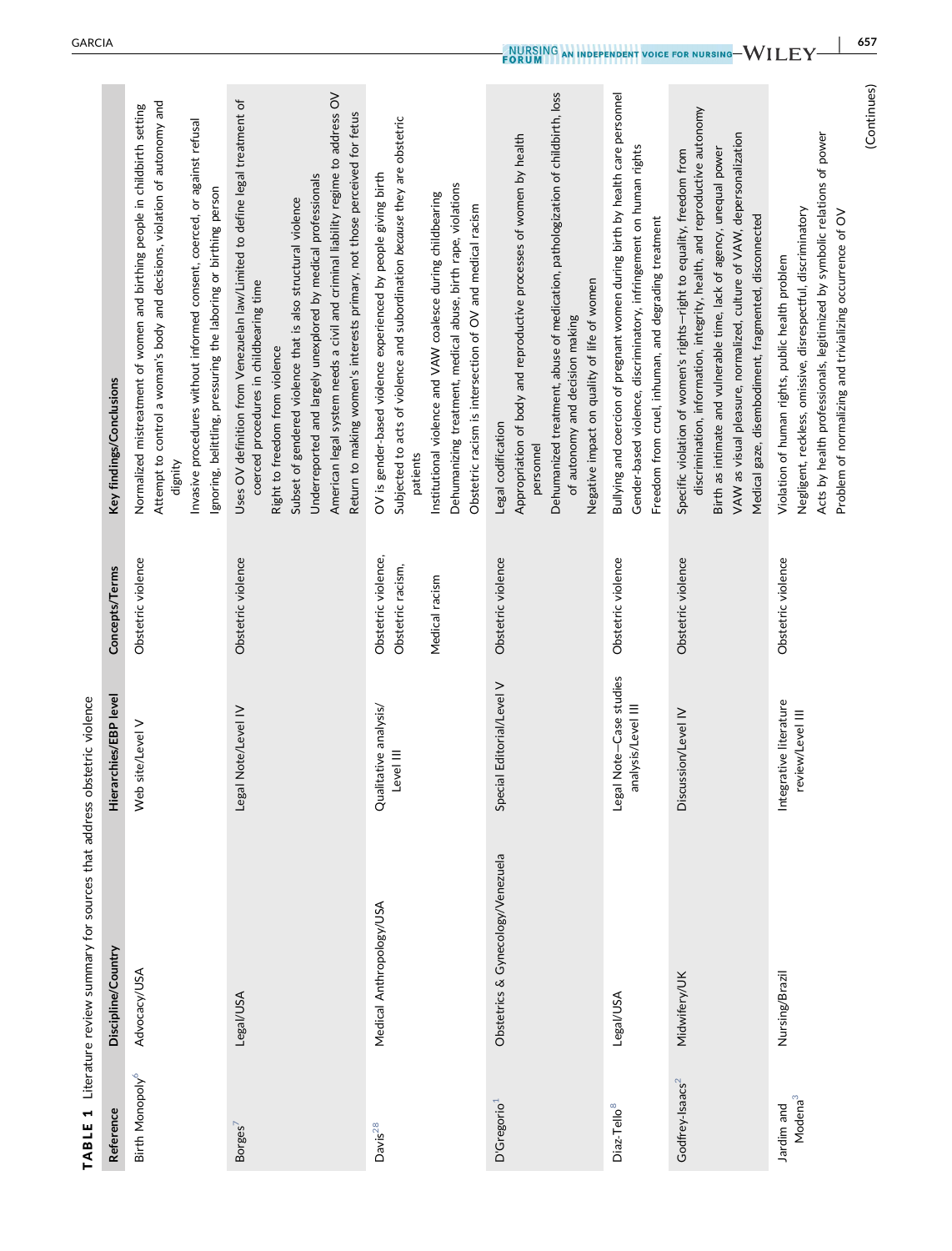<span id="page-3-0"></span>

| Reference                         | Discipline/Country                | Hierarchies/EBP level                                    | Concepts/Terms                                             | Key findings/Conclusions                                                                                                                                                                                                                                                                                                                                                                                                                                  |
|-----------------------------------|-----------------------------------|----------------------------------------------------------|------------------------------------------------------------|-----------------------------------------------------------------------------------------------------------------------------------------------------------------------------------------------------------------------------------------------------------------------------------------------------------------------------------------------------------------------------------------------------------------------------------------------------------|
| Birth Monopoly <sup>6</sup>       | Advocacy/USA                      | site/Level V<br><b>Web</b>                               | Obstetric violence                                         | Attempt to control a woman's body and decisions, violation of autonomy and<br>Normalized mistreatment of women and birthing people in childbirth setting<br>Invasive procedures without informed consent, coerced, or against refusal<br>Ignoring, belittling, pressuring the laboring or birthing person<br>dignity                                                                                                                                      |
| Borges <sup>7</sup>               | Legal/USA                         | Note/Level IV<br>Legal                                   | Obstetric violence                                         | American legal system needs a civil and criminal liability regime to address OV<br>Uses OV definition from Venezuelan law/Limited to define legal treatment of<br>Return to making women's interests primary, not those perceived for fetus<br>Underreported and largely unexplored by medical professionals<br>Subset of gendered violence that is also structural violence<br>coerced procedures in childbearing time<br>Right to freedom from violence |
| Davis <sup>28</sup>               | Medical Anthropology/USA          | Qualitative analysis/<br>Level III                       | Obstetric violence,<br>Obstetric racism,<br>Medical racism | Subjected to acts of violence and subordination because they are obstetric<br>OV is gender-based violence experienced by people giving birth<br>Dehumanizing treatment, medical abuse, birth rape, violations<br>Institutional violence and VAW coalesce during childbearing<br>Obstetric racism is intersection of OV and medical racism<br>patients                                                                                                     |
| D'Gregorio <sup>1</sup>           | Obstetrics & Gynecology/Venezuela | Special Editorial/Level V                                | Obstetric violence                                         | Dehumanized treatment, abuse of medication, pathologization of childbirth, loss<br>Appropriation of body and reproductive processes of women by health<br>Negative impact on quality of life of women<br>of autonomy and decision making<br>Legal codification<br>personnel                                                                                                                                                                               |
| Diaz-Tello <sup>8</sup>           | Legal/USA                         | Note-Case studies<br>$\equiv$<br>analysis/Level<br>Legal | Obstetric violence                                         | Bullying and coercion of pregnant women during birth by health care personnel<br>Gender-based violence, discriminatory, infringement on human rights<br>Freedom from cruel, inhuman, and degrading treatment                                                                                                                                                                                                                                              |
| Godfrey-Isaacs <sup>2</sup>       | Midwifery/UK                      | Discussion/Level IV                                      | Obstetric violence                                         | discrimination, information, integrity, health, and reproductive autonomy<br>VAW as visual pleasure, normalized, culture of VAW, depersonalization<br>Birth as intimate and vulnerable time, lack of agency, unequal power<br>Specific violation of women's rights-right to equality, freedom from<br>Medical gaze, disembodiment, fragmented, disconnected                                                                                               |
| Modena <sup>3</sup><br>Jardim and | Nursing/Brazil                    | Integrative literature<br>review/Level III               | Obstetric violence                                         | (Continues)<br>Acts by health professionals, legitimized by symbolic relations of power<br>Negligent, reckless, omissive, disrespectful, discriminatory<br>Problem of normalizing and trivializing occurrence of OV<br>Violation of human rights, public health problem                                                                                                                                                                                   |

TABLE 1 Literature review summary for sources that address obstetric violence TABLE 1 Literature review summary for sources that address obstetric violence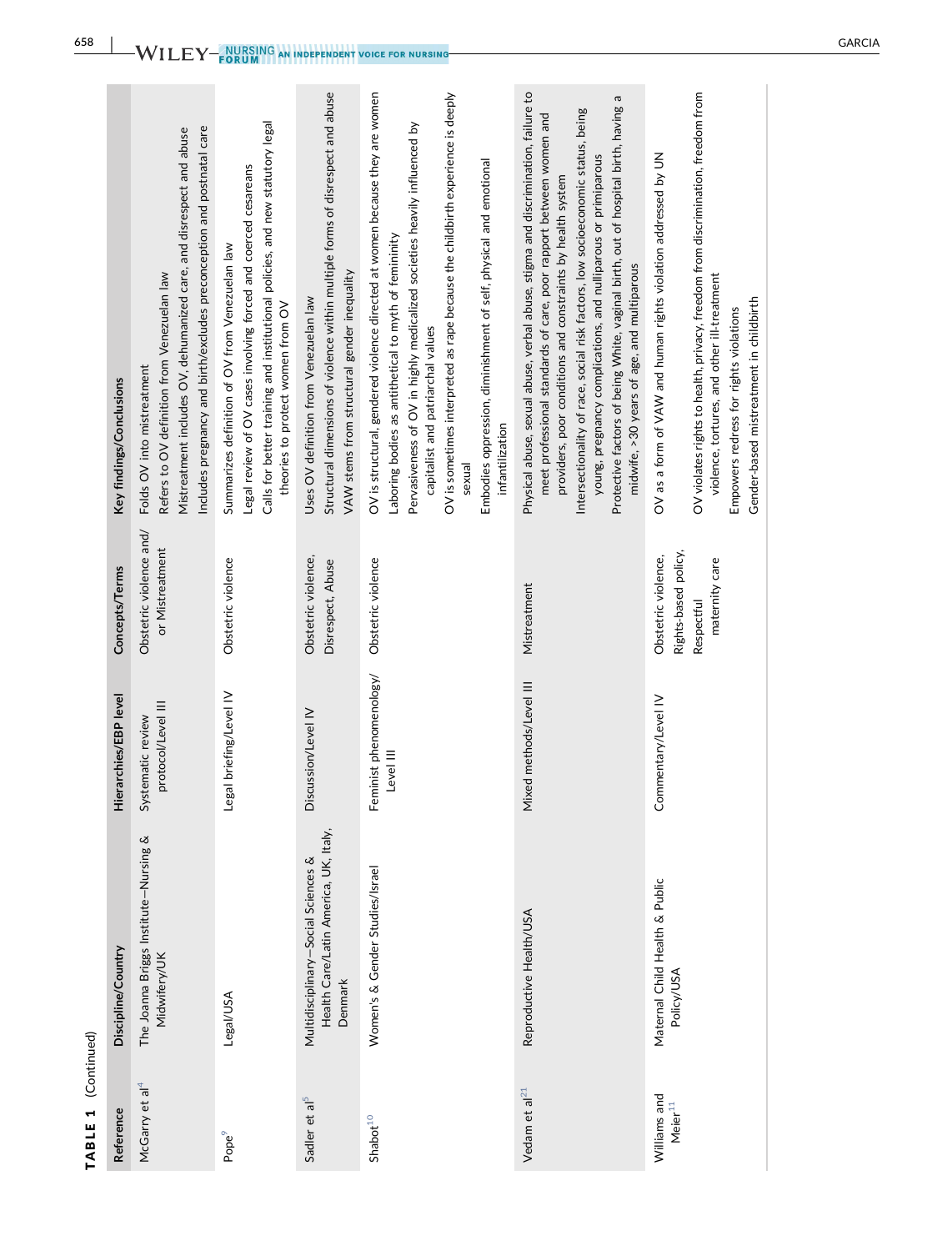| Reference                           | Discipline/Country                                                                      | Hierarchies/EBP level                   | Concepts/Terms                                                              | Key findings/Conclusions                                                                                                                                                                                                                                                                                                                                                                                                                                                                                           |
|-------------------------------------|-----------------------------------------------------------------------------------------|-----------------------------------------|-----------------------------------------------------------------------------|--------------------------------------------------------------------------------------------------------------------------------------------------------------------------------------------------------------------------------------------------------------------------------------------------------------------------------------------------------------------------------------------------------------------------------------------------------------------------------------------------------------------|
|                                     |                                                                                         |                                         |                                                                             |                                                                                                                                                                                                                                                                                                                                                                                                                                                                                                                    |
| McGarry et al <sup>4</sup>          | The Joanna Briggs Institute-Nursing &<br>Midwifery/UK                                   | protocol/Level III<br>Systematic review | Obstetric violence and/<br>or Mistreatment                                  | Includes pregnancy and birth/excludes preconception and postnatal care<br>Mistreatment includes OV, dehumanized care, and disrespect and abuse<br>Refers to OV definition from Venezuelan law<br>Folds OV into mistreatment                                                                                                                                                                                                                                                                                        |
| Pope <sup>9</sup>                   | Legal/USA                                                                               | Legal briefing/Level IV                 | Obstetric violence                                                          | Calls for better training and institutional policies, and new statutory legal<br>Legal review of OV cases involving forced and coerced cesareans<br>Summarizes definition of OV from Venezuelan law<br>theories to protect women from OV                                                                                                                                                                                                                                                                           |
| Sadler et al <sup>5</sup>           | Health Care/Latin America, UK, Italy,<br>Multidisciplinary-Social Sciences &<br>Denmark | Discussion/Level IV                     | Obstetric violence,<br>Disrespect, Abuse                                    | Structural dimensions of violence within multiple forms of disrespect and abuse<br>VAW stems from structural gender inequality<br>Uses OV definition from Venezuelan law                                                                                                                                                                                                                                                                                                                                           |
| Shabot <sup>10</sup>                | Women's & Gender Studies/Israel                                                         | Feminist phenomenology/<br>Level III    | Obstetric violence                                                          | OV is structural, gendered violence directed at women because they are women<br>OV is sometimes interpreted as rape because the childbirth experience is deeply<br>Pervasiveness of OV in highly medicalized societies heavily influenced by<br>Embodies oppression, diminishment of self, physical and emotional<br>Laboring bodies as antithetical to myth of femininity<br>capitalist and patriarchal values<br>infantilization<br>sexual                                                                       |
| Vedam et al <sup>21</sup>           | Reproductive Health/USA                                                                 | Mixed methods/Level III                 | Mistreatment                                                                | Physical abuse, sexual abuse, verbal abuse, stigma and discrimination, failure to<br>φ<br>Protective factors of being White, vaginal birth, out of hospital birth, having<br>Intersectionality of race, social risk factors, low socioeconomic status, being<br>meet professional standards of care, poor rapport between women and<br>young, pregnancy complications, and nulliparous or primiparous<br>providers, poor conditions and constraints by health system<br>midwife, >30 years of age, and multiparous |
| Williams and<br>Meier <sup>11</sup> | Maternal Child Health & Public<br>Policy/USA                                            | Commentary/Level IV                     | Rights-based policy,<br>Obstetric violence,<br>maternity care<br>Respectful | OV violates rights to health, privacy, freedom from discrimination, freedom from<br>OV as a form of VAW and human rights violation addressed by UN<br>violence, tortures, and other ill-treatment<br>Gender-based mistreatment in childbirth<br>Empowers redress for rights violations                                                                                                                                                                                                                             |
|                                     |                                                                                         |                                         |                                                                             |                                                                                                                                                                                                                                                                                                                                                                                                                                                                                                                    |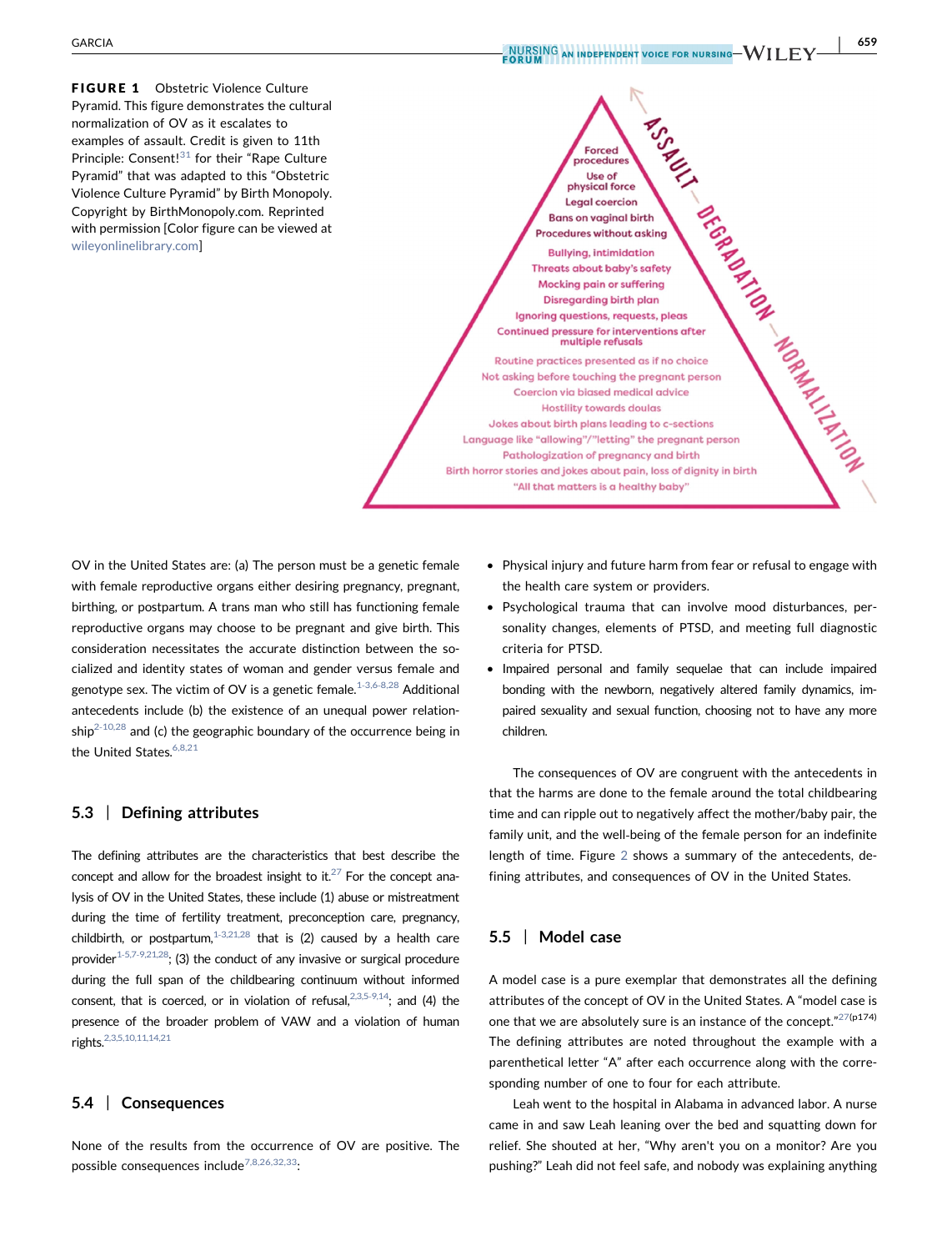<span id="page-5-0"></span>FIGURE 1 Obstetric Violence Culture Pyramid. This figure demonstrates the cultural normalization of OV as it escalates to examples of assault. Credit is given to 11th Principle: Consent!<sup>31</sup> for their "Rape Culture" Pyramid" that was adapted to this "Obstetric Violence Culture Pyramid" by Birth Monopoly. Copyright by BirthMonopoly.com. Reprinted with permission [Color figure can be viewed at [wileyonlinelibrary.com](http://wileyonlinelibrary.com)]



OV in the United States are: (a) The person must be a genetic female with female reproductive organs either desiring pregnancy, pregnant, birthing, or postpartum. A trans man who still has functioning female reproductive organs may choose to be pregnant and give birth. This consideration necessitates the accurate distinction between the socialized and identity states of woman and gender versus female and genotype sex. The victim of OV is a genetic female. $^{1\text{-}3,6\text{-}8,28}$  $^{1\text{-}3,6\text{-}8,28}$  $^{1\text{-}3,6\text{-}8,28}$  Additional antecedents include (b) the existence of an unequal power relation-ship<sup>2-[10,28](#page-8-0)</sup> and (c) the geographic boundary of the occurrence being in the United States.<sup>[6,8,21](#page-8-0)</sup>

#### 5.3 | Defining attributes

The defining attributes are the characteristics that best describe the concept and allow for the broadest insight to it. $27$  For the concept analysis of OV in the United States, these include (1) abuse or mistreatment during the time of fertility treatment, preconception care, pregnancy, childbirth, or postpartum, $1-3,21,28$  $1-3,21,28$  that is (2) caused by a health care provider<sup>1-5,7-[9,21,28](#page-8-0)</sup>; (3) the conduct of any invasive or surgical procedure during the full span of the childbearing continuum without informed consent, that is coerced, or in violation of refusal, $2,3,5-9,14$ ; and (4) the presence of the broader problem of VAW and a violation of human rights[.2,3,5,10,11,14,21](#page-8-0)

#### 5.4 | Consequences

None of the results from the occurrence of OV are positive. The possible consequences include<sup>7,8,26,32,33</sup>:

- Physical injury and future harm from fear or refusal to engage with the health care system or providers.
- Psychological trauma that can involve mood disturbances, personality changes, elements of PTSD, and meeting full diagnostic criteria for PTSD.
- Impaired personal and family sequelae that can include impaired bonding with the newborn, negatively altered family dynamics, impaired sexuality and sexual function, choosing not to have any more children.

The consequences of OV are congruent with the antecedents in that the harms are done to the female around the total childbearing time and can ripple out to negatively affect the mother/baby pair, the family unit, and the well‐being of the female person for an indefinite length of time. Figure [2](#page-6-0) shows a summary of the antecedents, defining attributes, and consequences of OV in the United States.

## 5.5 | Model case

A model case is a pure exemplar that demonstrates all the defining attributes of the concept of OV in the United States. A "model case is one that we are absolutely sure is an instance of the concept." $27(p174)$  $27(p174)$ The defining attributes are noted throughout the example with a parenthetical letter "A" after each occurrence along with the corresponding number of one to four for each attribute.

Leah went to the hospital in Alabama in advanced labor. A nurse came in and saw Leah leaning over the bed and squatting down for relief. She shouted at her, "Why aren't you on a monitor? Are you pushing?" Leah did not feel safe, and nobody was explaining anything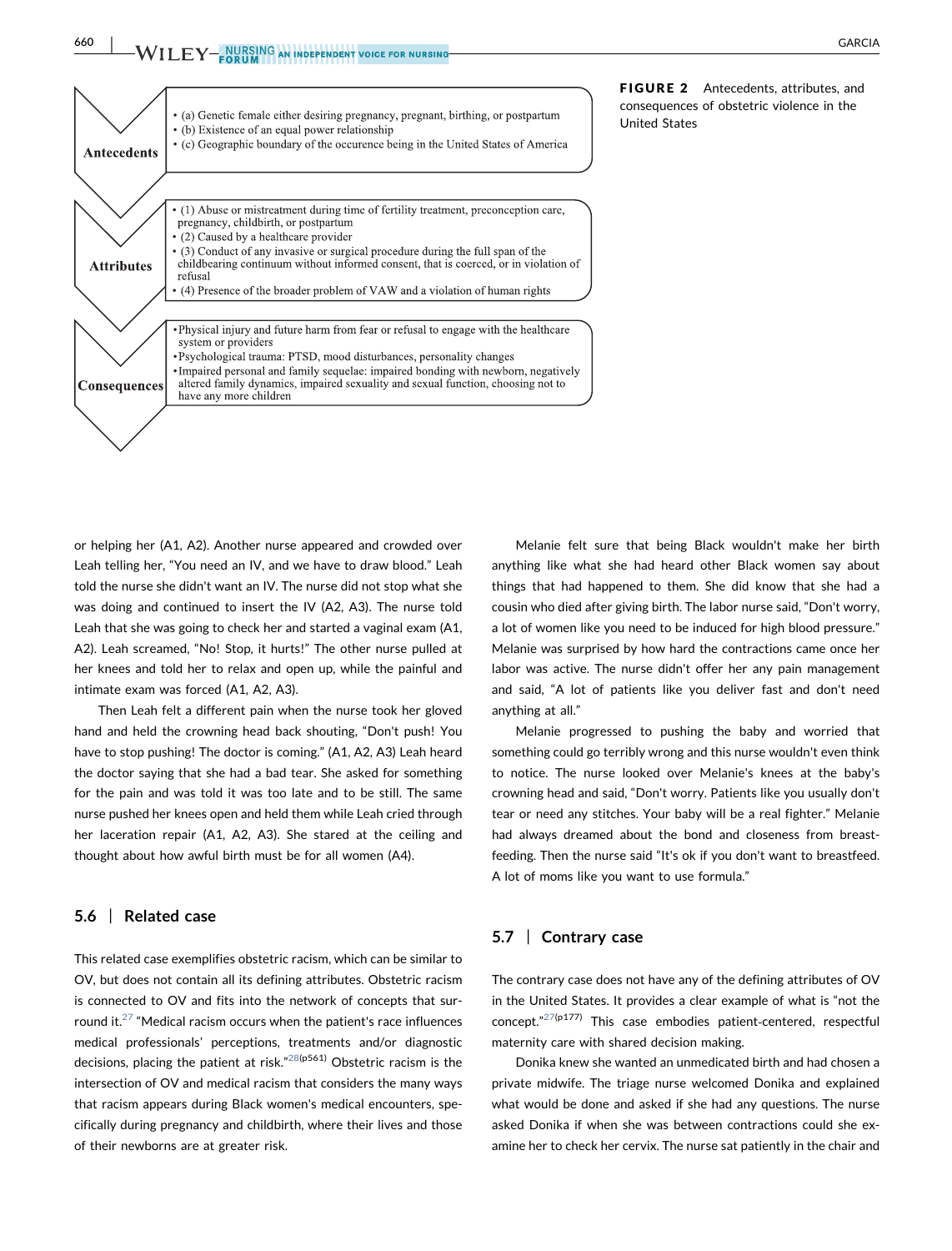<span id="page-6-0"></span>

or helping her (A1, A2). Another nurse appeared and crowded over Leah telling her, "You need an IV, and we have to draw blood." Leah told the nurse she didn't want an IV. The nurse did not stop what she was doing and continued to insert the IV (A2, A3). The nurse told Leah that she was going to check her and started a vaginal exam (A1, A2). Leah screamed, "No! Stop, it hurts!" The other nurse pulled at her knees and told her to relax and open up, while the painful and intimate exam was forced (A1, A2, A3).

Then Leah felt a different pain when the nurse took her gloved hand and held the crowning head back shouting, "Don't push! You have to stop pushing! The doctor is coming." (A1, A2, A3) Leah heard the doctor saying that she had a bad tear. She asked for something for the pain and was told it was too late and to be still. The same nurse pushed her knees open and held them while Leah cried through her laceration repair (A1, A2, A3). She stared at the ceiling and thought about how awful birth must be for all women (A4).

#### 5.6 | Related case

This related case exemplifies obstetric racism, which can be similar to OV, but does not contain all its defining attributes. Obstetric racism is connected to OV and fits into the network of concepts that surround it. $27$  "Medical racism occurs when the patient's race influences medical professionals' perceptions, treatments and/or diagnostic decisions, placing the patient at risk."<sup>[28](#page-8-0)(p561)</sup> Obstetric racism is the intersection of OV and medical racism that considers the many ways that racism appears during Black women's medical encounters, specifically during pregnancy and childbirth, where their lives and those of their newborns are at greater risk.

Melanie felt sure that being Black wouldn't make her birth anything like what she had heard other Black women say about things that had happened to them. She did know that she had a cousin who died after giving birth. The labor nurse said, "Don't worry, a lot of women like you need to be induced for high blood pressure." Melanie was surprised by how hard the contractions came once her labor was active. The nurse didn't offer her any pain management and said, "A lot of patients like you deliver fast and don't need anything at all."

Melanie progressed to pushing the baby and worried that something could go terribly wrong and this nurse wouldn't even think to notice. The nurse looked over Melanie's knees at the baby's crowning head and said, "Don't worry. Patients like you usually don't tear or need any stitches. Your baby will be a real fighter." Melanie had always dreamed about the bond and closeness from breastfeeding. Then the nurse said "It's ok if you don't want to breastfeed. A lot of moms like you want to use formula."

#### 5.7 | Contrary case

The contrary case does not have any of the defining attributes of OV in the United States. It provides a clear example of what is "not the concept."<sup>[27](#page-8-0)(p177)</sup> This case embodies patient-centered, respectful maternity care with shared decision making.

Donika knew she wanted an unmedicated birth and had chosen a private midwife. The triage nurse welcomed Donika and explained what would be done and asked if she had any questions. The nurse asked Donika if when she was between contractions could she examine her to check her cervix. The nurse sat patiently in the chair and

FIGURE 2 Antecedents, attributes, and consequences of obstetric violence in the United States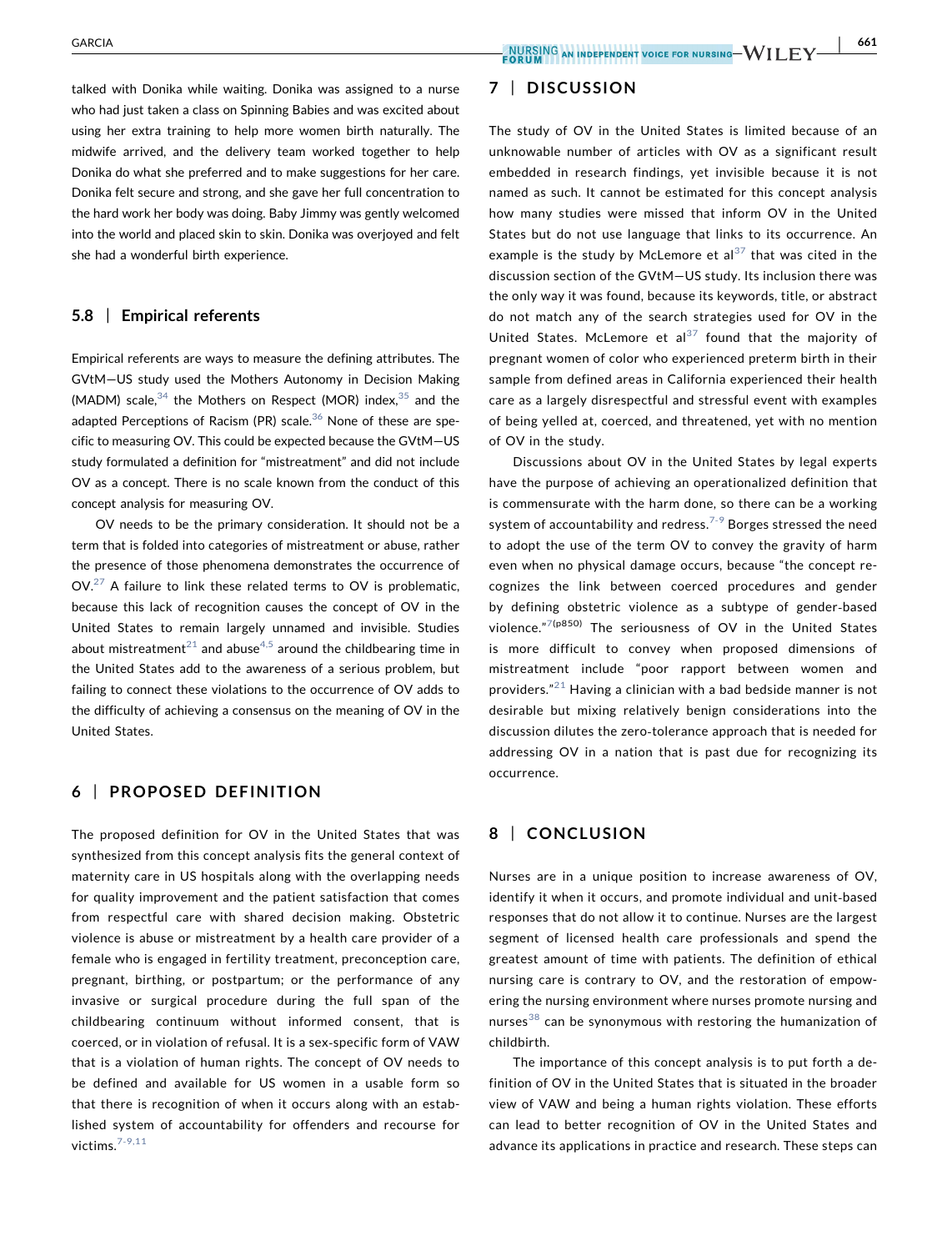talked with Donika while waiting. Donika was assigned to a nurse who had just taken a class on Spinning Babies and was excited about using her extra training to help more women birth naturally. The midwife arrived, and the delivery team worked together to help Donika do what she preferred and to make suggestions for her care. Donika felt secure and strong, and she gave her full concentration to the hard work her body was doing. Baby Jimmy was gently welcomed into the world and placed skin to skin. Donika was overjoyed and felt she had a wonderful birth experience.

#### 5.8 | Empirical referents

Empirical referents are ways to measure the defining attributes. The GVtM—US study used the Mothers Autonomy in Decision Making (MADM) scale, $34$  the Mothers on Respect (MOR) index, $35$  and the adapted Perceptions of Racism (PR) scale. $36$  None of these are specific to measuring OV. This could be expected because the GVtM—US study formulated a definition for "mistreatment" and did not include OV as a concept. There is no scale known from the conduct of this concept analysis for measuring OV.

OV needs to be the primary consideration. It should not be a term that is folded into categories of mistreatment or abuse, rather the presence of those phenomena demonstrates the occurrence of OV.[27](#page-8-0) A failure to link these related terms to OV is problematic, because this lack of recognition causes the concept of OV in the United States to remain largely unnamed and invisible. Studies about mistreatment<sup>[21](#page-8-0)</sup> and abuse<sup>[4,5](#page-8-0)</sup> around the childbearing time in the United States add to the awareness of a serious problem, but failing to connect these violations to the occurrence of OV adds to the difficulty of achieving a consensus on the meaning of OV in the United States.

## 6 | PROPOSED DEFINITION

The proposed definition for OV in the United States that was synthesized from this concept analysis fits the general context of maternity care in US hospitals along with the overlapping needs for quality improvement and the patient satisfaction that comes from respectful care with shared decision making. Obstetric violence is abuse or mistreatment by a health care provider of a female who is engaged in fertility treatment, preconception care, pregnant, birthing, or postpartum; or the performance of any invasive or surgical procedure during the full span of the childbearing continuum without informed consent, that is coerced, or in violation of refusal. It is a sex‐specific form of VAW that is a violation of human rights. The concept of OV needs to be defined and available for US women in a usable form so that there is recognition of when it occurs along with an established system of accountability for offenders and recourse for victims. $7-9,11$  $7-9,11$ 

### 7 | DISCUSSION

The study of OV in the United States is limited because of an unknowable number of articles with OV as a significant result embedded in research findings, yet invisible because it is not named as such. It cannot be estimated for this concept analysis how many studies were missed that inform OV in the United States but do not use language that links to its occurrence. An example is the study by McLemore et al<sup>[37](#page-9-0)</sup> that was cited in the discussion section of the GVtM—US study. Its inclusion there was the only way it was found, because its keywords, title, or abstract do not match any of the search strategies used for OV in the United States. McLemore et al $37$  found that the majority of pregnant women of color who experienced preterm birth in their sample from defined areas in California experienced their health care as a largely disrespectful and stressful event with examples of being yelled at, coerced, and threatened, yet with no mention of OV in the study.

Discussions about OV in the United States by legal experts have the purpose of achieving an operationalized definition that is commensurate with the harm done, so there can be a working system of accountability and redress.<sup>7-[9](#page-8-0)</sup> Borges stressed the need to adopt the use of the term OV to convey the gravity of harm even when no physical damage occurs, because "the concept recognizes the link between coerced procedures and gender by defining obstetric violence as a subtype of gender‐based violence."<sup>[7\(](#page-8-0)p850)</sup> The seriousness of OV in the United States is more difficult to convey when proposed dimensions of mistreatment include "poor rapport between women and providers."<sup>[21](#page-8-0)</sup> Having a clinician with a bad bedside manner is not desirable but mixing relatively benign considerations into the discussion dilutes the zero‐tolerance approach that is needed for addressing OV in a nation that is past due for recognizing its occurrence.

## 8 | CONCLUSION

Nurses are in a unique position to increase awareness of OV, identify it when it occurs, and promote individual and unit‐based responses that do not allow it to continue. Nurses are the largest segment of licensed health care professionals and spend the greatest amount of time with patients. The definition of ethical nursing care is contrary to OV, and the restoration of empowering the nursing environment where nurses promote nursing and nurses<sup>[38](#page-9-0)</sup> can be synonymous with restoring the humanization of childbirth.

The importance of this concept analysis is to put forth a definition of OV in the United States that is situated in the broader view of VAW and being a human rights violation. These efforts can lead to better recognition of OV in the United States and advance its applications in practice and research. These steps can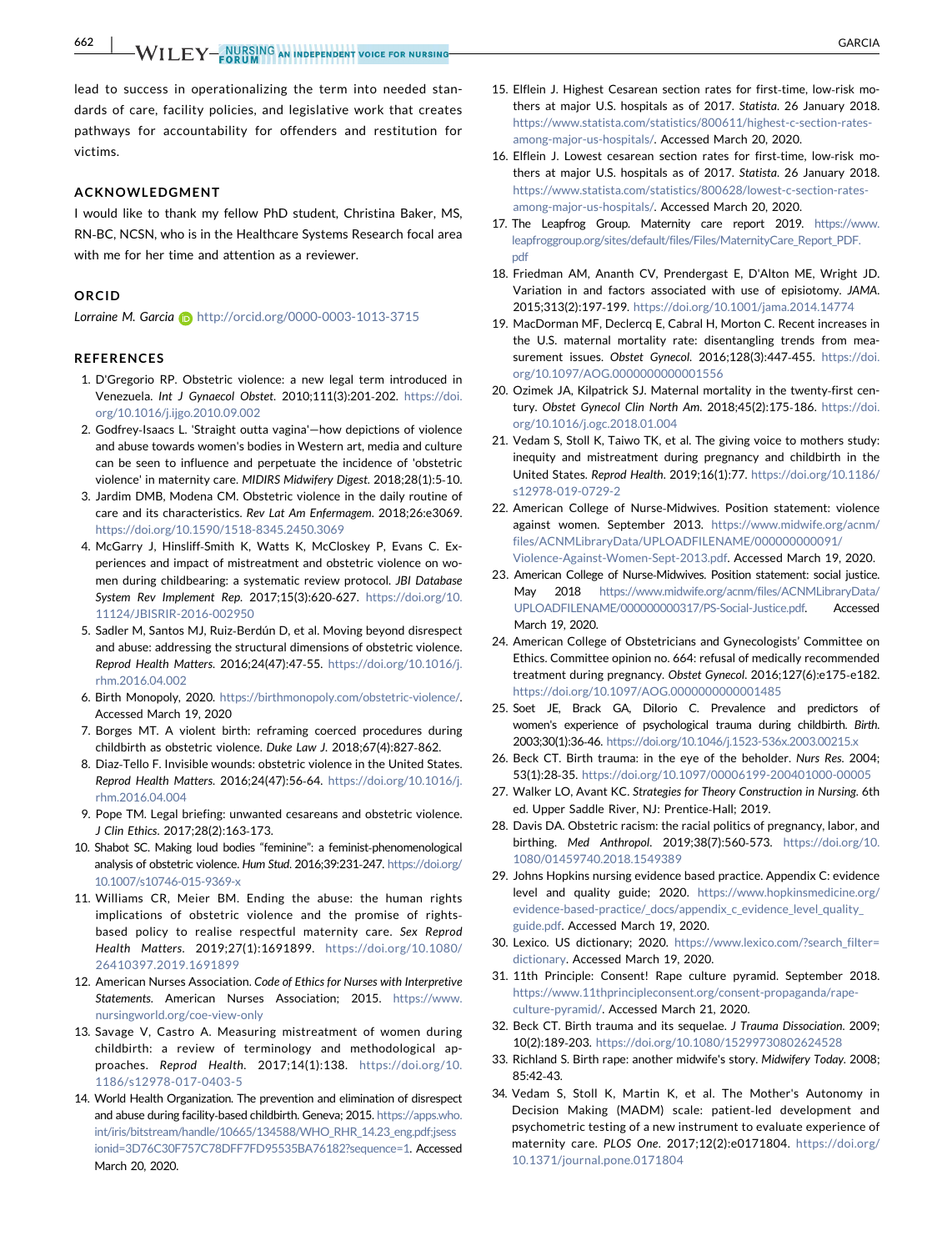<span id="page-8-0"></span>662 WILEY-AURSING AN INDEPENDENT VOICE FOR NURSING CONTRACTED TO A CARCIA

lead to success in operationalizing the term into needed standards of care, facility policies, and legislative work that creates pathways for accountability for offenders and restitution for victims.

#### ACKNOWLEDGMENT

I would like to thank my fellow PhD student, Christina Baker, MS, RN‐BC, NCSN, who is in the Healthcare Systems Research focal area with me for her time and attention as a reviewer.

#### ORCID

Lorraine M. Garcia **b** <http://orcid.org/0000-0003-1013-3715>

#### REFERENCES

- 1. D'Gregorio RP. Obstetric violence: a new legal term introduced in Venezuela. Int J Gynaecol Obstet. 2010;111(3):201‐202. [https://doi.](https://doi.org/10.1016/j.ijgo.2010.09.002) [org/10.1016/j.ijgo.2010.09.002](https://doi.org/10.1016/j.ijgo.2010.09.002)
- 2. Godfrey‐Isaacs L. 'Straight outta vagina'—how depictions of violence and abuse towards women's bodies in Western art, media and culture can be seen to influence and perpetuate the incidence of 'obstetric violence' in maternity care. MIDIRS Midwifery Digest. 2018;28(1):5‐10.
- 3. Jardim DMB, Modena CM. Obstetric violence in the daily routine of care and its characteristics. Rev Lat Am Enfermagem. 2018;26:e3069. <https://doi.org/10.1590/1518-8345.2450.3069>
- 4. McGarry J, Hinsliff‐Smith K, Watts K, McCloskey P, Evans C. Experiences and impact of mistreatment and obstetric violence on women during childbearing: a systematic review protocol. JBI Database System Rev Implement Rep. 2017;15(3):620‐627. [https://doi.org/10.](https://doi.org/10.11124/JBISRIR-2016-002950) [11124/JBISRIR-2016-002950](https://doi.org/10.11124/JBISRIR-2016-002950)
- 5. Sadler M, Santos MJ, Ruiz‐Berdún D, et al. Moving beyond disrespect and abuse: addressing the structural dimensions of obstetric violence. Reprod Health Matters. 2016;24(47):47‐55. [https://doi.org/10.1016/j.](https://doi.org/10.1016/j.rhm.2016.04.002) [rhm.2016.04.002](https://doi.org/10.1016/j.rhm.2016.04.002)
- 6. Birth Monopoly, 2020. [https://birthmonopoly.com/obstetric-violence/.](https://birthmonopoly.com/obstetric-violence/) Accessed March 19, 2020
- 7. Borges MT. A violent birth: reframing coerced procedures during childbirth as obstetric violence. Duke Law J. 2018;67(4):827‐862.
- 8. Diaz‐Tello F. Invisible wounds: obstetric violence in the United States. Reprod Health Matters. 2016;24(47):56‐64. [https://doi.org/10.1016/j.](https://doi.org/10.1016/j.rhm.2016.04.004) [rhm.2016.04.004](https://doi.org/10.1016/j.rhm.2016.04.004)
- 9. Pope TM. Legal briefing: unwanted cesareans and obstetric violence. J Clin Ethics. 2017;28(2):163‐173.
- 10. Shabot SC. Making loud bodies "feminine": a feminist‐phenomenological analysis of obstetric violence. Hum Stud. 2016;39:231‐247. [https://doi.org/](https://doi.org/10.1007/s10746-015-9369-x) [10.1007/s10746-015-9369-x](https://doi.org/10.1007/s10746-015-9369-x)
- 11. Williams CR, Meier BM. Ending the abuse: the human rights implications of obstetric violence and the promise of rightsbased policy to realise respectful maternity care. Sex Reprod Health Matters. 2019;27(1):1691899. [https://doi.org/10.1080/](https://doi.org/10.1080/26410397.2019.1691899) [26410397.2019.1691899](https://doi.org/10.1080/26410397.2019.1691899)
- 12. American Nurses Association. Code of Ethics for Nurses with Interpretive Statements. American Nurses Association; 2015. [https://www.](https://www.nursingworld.org/coe-view-only) [nursingworld.org/coe-view-only](https://www.nursingworld.org/coe-view-only)
- 13. Savage V, Castro A. Measuring mistreatment of women during childbirth: a review of terminology and methodological approaches. Reprod Health. 2017;14(1):138. [https://doi.org/10.](https://doi.org/10.1186/s12978-017-0403-5) [1186/s12978-017-0403-5](https://doi.org/10.1186/s12978-017-0403-5)
- 14. World Health Organization. The prevention and elimination of disrespect and abuse during facility-based childbirth. Geneva; 2015. [https://apps.who.](https://apps.who.int/iris/bitstream/handle/10665/134588/WHO_RHR_14.23_eng.pdf;jsessionid=3D76C30F757C78DFF7FD95535BA76182?sequence=1) [int/iris/bitstream/handle/10665/134588/WHO\\_RHR\\_14.23\\_eng.pdf;jsess](https://apps.who.int/iris/bitstream/handle/10665/134588/WHO_RHR_14.23_eng.pdf;jsessionid=3D76C30F757C78DFF7FD95535BA76182?sequence=1) [ionid=3D76C30F757C78DFF7FD95535BA76182?sequence=1](https://apps.who.int/iris/bitstream/handle/10665/134588/WHO_RHR_14.23_eng.pdf;jsessionid=3D76C30F757C78DFF7FD95535BA76182?sequence=1). Accessed March 20, 2020.
- 15. Elflein J. Highest Cesarean section rates for first-time, low-risk mothers at major U.S. hospitals as of 2017. Statista. 26 January 2018. [https://www.statista.com/statistics/800611/highest-c-section-rates](https://www.statista.com/statistics/800611/highest-c-section-rates-among-major-us-hospitals/)[among-major-us-hospitals/](https://www.statista.com/statistics/800611/highest-c-section-rates-among-major-us-hospitals/). Accessed March 20, 2020.
- 16. Elflein J. Lowest cesarean section rates for first-time, low-risk mothers at major U.S. hospitals as of 2017. Statista. 26 January 2018. [https://www.statista.com/statistics/800628/lowest-c-section-rates](https://www.statista.com/statistics/800628/lowest-c-section-rates-among-major-us-hospitals/)[among-major-us-hospitals/](https://www.statista.com/statistics/800628/lowest-c-section-rates-among-major-us-hospitals/). Accessed March 20, 2020.
- 17. The Leapfrog Group. Maternity care report 2019. [https://www.](https://www.leapfroggroup.org/sites/default/files/Files/MaternityCare_Report_PDF.pdf) [leapfroggroup.org/sites/default/files/Files/MaternityCare\\_Report\\_PDF.](https://www.leapfroggroup.org/sites/default/files/Files/MaternityCare_Report_PDF.pdf) [pdf](https://www.leapfroggroup.org/sites/default/files/Files/MaternityCare_Report_PDF.pdf)
- 18. Friedman AM, Ananth CV, Prendergast E, D'Alton ME, Wright JD. Variation in and factors associated with use of episiotomy. JAMA. 2015;313(2):197‐199. <https://doi.org/10.1001/jama.2014.14774>
- 19. MacDorman MF, Declercq E, Cabral H, Morton C. Recent increases in the U.S. maternal mortality rate: disentangling trends from measurement issues. Obstet Gynecol. 2016;128(3):447-455. [https://doi.](https://doi.org/10.1097/AOG.0000000000001556) [org/10.1097/AOG.0000000000001556](https://doi.org/10.1097/AOG.0000000000001556)
- 20. Ozimek JA, Kilpatrick SJ. Maternal mortality in the twenty‐first century. Obstet Gynecol Clin North Am. 2018;45(2):175-186. [https://doi.](https://doi.org/10.1016/j.ogc.2018.01.004) [org/10.1016/j.ogc.2018.01.004](https://doi.org/10.1016/j.ogc.2018.01.004)
- 21. Vedam S, Stoll K, Taiwo TK, et al. The giving voice to mothers study: inequity and mistreatment during pregnancy and childbirth in the United States. Reprod Health. 2019;16(1):77. [https://doi.org/10.1186/](https://doi.org/10.1186/s12978-019-0729-2) [s12978-019-0729-2](https://doi.org/10.1186/s12978-019-0729-2)
- 22. American College of Nurse‐Midwives. Position statement: violence against women. September 2013. [https://www.midwife.org/acnm/](https://www.midwife.org/acnm/files/ACNMLibraryData/UPLOADFILENAME/000000000091/Violence-Against-Women-Sept-2013.pdf) [files/ACNMLibraryData/UPLOADFILENAME/000000000091/](https://www.midwife.org/acnm/files/ACNMLibraryData/UPLOADFILENAME/000000000091/Violence-Against-Women-Sept-2013.pdf) [Violence-Against-Women-Sept-2013.pdf](https://www.midwife.org/acnm/files/ACNMLibraryData/UPLOADFILENAME/000000000091/Violence-Against-Women-Sept-2013.pdf). Accessed March 19, 2020.
- 23. American College of Nurse‐Midwives. Position statement: social justice. May 2018 [https://www.midwife.org/acnm/files/ACNMLibraryData/](https://www.midwife.org/acnm/files/ACNMLibraryData/UPLOADFILENAME/000000000317/PS-Social-Justice.pdf) [UPLOADFILENAME/000000000317/PS-Social-Justice.pdf.](https://www.midwife.org/acnm/files/ACNMLibraryData/UPLOADFILENAME/000000000317/PS-Social-Justice.pdf) Accessed March 19, 2020.
- 24. American College of Obstetricians and Gynecologists' Committee on Ethics. Committee opinion no. 664: refusal of medically recommended treatment during pregnancy. Obstet Gynecol. 2016;127(6):e175‐e182. <https://doi.org/10.1097/AOG.0000000000001485>
- 25. Soet JE, Brack GA, DiIorio C. Prevalence and predictors of women's experience of psychological trauma during childbirth. Birth. 2003;30(1):36‐46. <https://doi.org/10.1046/j.1523-536x.2003.00215.x>
- 26. Beck CT. Birth trauma: in the eye of the beholder. Nurs Res. 2004; 53(1):28‐35. <https://doi.org/10.1097/00006199-200401000-00005>
- 27. Walker LO, Avant KC. Strategies for Theory Construction in Nursing. 6th ed. Upper Saddle River, NJ: Prentice‐Hall; 2019.
- 28. Davis DA. Obstetric racism: the racial politics of pregnancy, labor, and birthing. Med Anthropol. 2019;38(7):560‐573. [https://doi.org/10.](https://doi.org/10.1080/01459740.2018.1549389) [1080/01459740.2018.1549389](https://doi.org/10.1080/01459740.2018.1549389)
- 29. Johns Hopkins nursing evidence based practice. Appendix C: evidence level and quality guide; 2020. [https://www.hopkinsmedicine.org/](https://www.hopkinsmedicine.org/evidence-based-practice/_docs/appendix_c_evidence_level_quality_guide.pdf) [evidence-based-practice/\\_docs/appendix\\_c\\_evidence\\_level\\_quality\\_](https://www.hopkinsmedicine.org/evidence-based-practice/_docs/appendix_c_evidence_level_quality_guide.pdf) [guide.pdf](https://www.hopkinsmedicine.org/evidence-based-practice/_docs/appendix_c_evidence_level_quality_guide.pdf). Accessed March 19, 2020.
- 30. Lexico. US dictionary; 2020. [https://www.lexico.com/?search\\_filter=](https://www.lexico.com/?search_filter=dictionary) [dictionary](https://www.lexico.com/?search_filter=dictionary). Accessed March 19, 2020.
- 31. 11th Principle: Consent! Rape culture pyramid. September 2018. [https://www.11thprincipleconsent.org/consent-propaganda/rape](https://www.11thprincipleconsent.org/consent-propaganda/rape-culture-pyramid/)[culture-pyramid/.](https://www.11thprincipleconsent.org/consent-propaganda/rape-culture-pyramid/) Accessed March 21, 2020.
- 32. Beck CT. Birth trauma and its sequelae. J Trauma Dissociation. 2009; 10(2):189‐203. <https://doi.org/10.1080/15299730802624528>
- 33. Richland S. Birth rape: another midwife's story. Midwifery Today. 2008; 85:42‐43.
- 34. Vedam S, Stoll K, Martin K, et al. The Mother's Autonomy in Decision Making (MADM) scale: patient‐led development and psychometric testing of a new instrument to evaluate experience of maternity care. PLOS One. 2017;12(2):e0171804. [https://doi.org/](https://doi.org/10.1371/journal.pone.0171804) [10.1371/journal.pone.0171804](https://doi.org/10.1371/journal.pone.0171804)